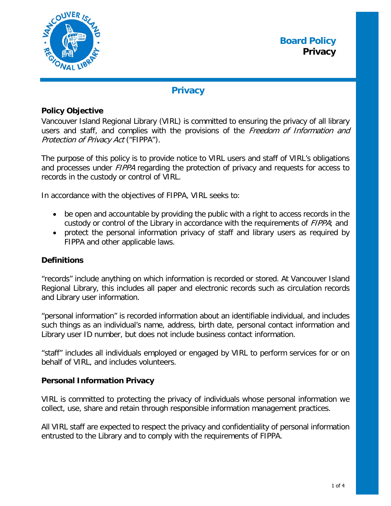

# **Privacy**

## **Policy Objective**

Vancouver Island Regional Library (VIRL) is committed to ensuring the privacy of all library users and staff, and complies with the provisions of the Freedom of Information and Protection of Privacy Act ("FIPPA").

The purpose of this policy is to provide notice to VIRL users and staff of VIRL's obligations and processes under *FIPPA* regarding the protection of privacy and requests for access to records in the custody or control of VIRL.

In accordance with the objectives of FIPPA, VIRL seeks to:

- be open and accountable by providing the public with a right to access records in the custody or control of the Library in accordance with the requirements of FIPPA; and
- protect the personal information privacy of staff and library users as required by FIPPA and other applicable laws.

## **Definitions**

"records" include anything on which information is recorded or stored. At Vancouver Island Regional Library, this includes all paper and electronic records such as circulation records and Library user information.

"personal information" is recorded information about an identifiable individual, and includes such things as an individual's name, address, birth date, personal contact information and Library user ID number, but does not include business contact information.

"staff" includes all individuals employed or engaged by VIRL to perform services for or on behalf of VIRL, and includes volunteers.

### **Personal Information Privacy**

VIRL is committed to protecting the privacy of individuals whose personal information we collect, use, share and retain through responsible information management practices.

All VIRL staff are expected to respect the privacy and confidentiality of personal information entrusted to the Library and to comply with the requirements of FIPPA.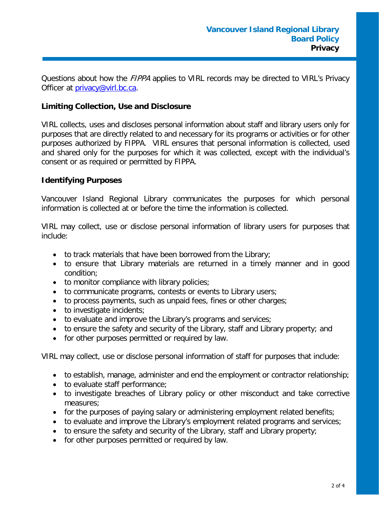Questions about how the *FIPPA* applies to VIRL records may be directed to VIRL's Privacy Officer at [privacy@virl.bc.ca.](mailto:privacy@virl.bc.ca)

## **Limiting Collection, Use and Disclosure**

VIRL collects, uses and discloses personal information about staff and library users only for purposes that are directly related to and necessary for its programs or activities or for other purposes authorized by FIPPA. VIRL ensures that personal information is collected, used and shared only for the purposes for which it was collected, except with the individual's consent or as required or permitted by FIPPA.

### **Identifying Purposes**

Vancouver Island Regional Library communicates the purposes for which personal information is collected at or before the time the information is collected.

VIRL may collect, use or disclose personal information of library users for purposes that include:

- to track materials that have been borrowed from the Library;
- to ensure that Library materials are returned in a timely manner and in good condition;
- to monitor compliance with library policies;
- to communicate programs, contests or events to Library users;
- to process payments, such as unpaid fees, fines or other charges;
- to investigate incidents:
- to evaluate and improve the Library's programs and services;
- to ensure the safety and security of the Library, staff and Library property; and
- for other purposes permitted or required by law.

VIRL may collect, use or disclose personal information of staff for purposes that include:

- to establish, manage, administer and end the employment or contractor relationship;
- to evaluate staff performance;
- to investigate breaches of Library policy or other misconduct and take corrective measures;
- for the purposes of paying salary or administering employment related benefits;
- to evaluate and improve the Library's employment related programs and services;
- to ensure the safety and security of the Library, staff and Library property;
- for other purposes permitted or required by law.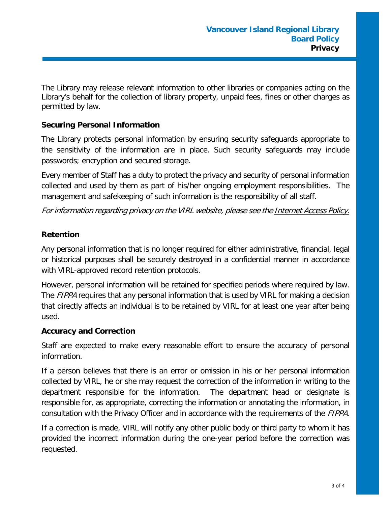The Library may release relevant information to other libraries or companies acting on the Library's behalf for the collection of library property, unpaid fees, fines or other charges as permitted by law.

## **Securing Personal Information**

The Library protects personal information by ensuring security safeguards appropriate to the sensitivity of the information are in place. Such security safeguards may include passwords; encryption and secured storage.

Every member of Staff has a duty to protect the privacy and security of personal information collected and used by them as part of his/her ongoing employment responsibilities. The management and safekeeping of such information is the responsibility of all staff.

For information regarding privacy on the VIRL website, please see the Internet Access Policy.

## **Retention**

Any personal information that is no longer required for either administrative, financial, legal or historical purposes shall be securely destroyed in a confidential manner in accordance with VIRL-approved record retention protocols.

However, personal information will be retained for specified periods where required by law. The *FIPPA* requires that any personal information that is used by VIRL for making a decision that directly affects an individual is to be retained by VIRL for at least one year after being used.

### **Accuracy and Correction**

Staff are expected to make every reasonable effort to ensure the accuracy of personal information.

If a person believes that there is an error or omission in his or her personal information collected by VIRL, he or she may request the correction of the information in writing to the department responsible for the information. The department head or designate is responsible for, as appropriate, correcting the information or annotating the information, in consultation with the Privacy Officer and in accordance with the requirements of the FIPPA.

If a correction is made, VIRL will notify any other public body or third party to whom it has provided the incorrect information during the one-year period before the correction was requested.